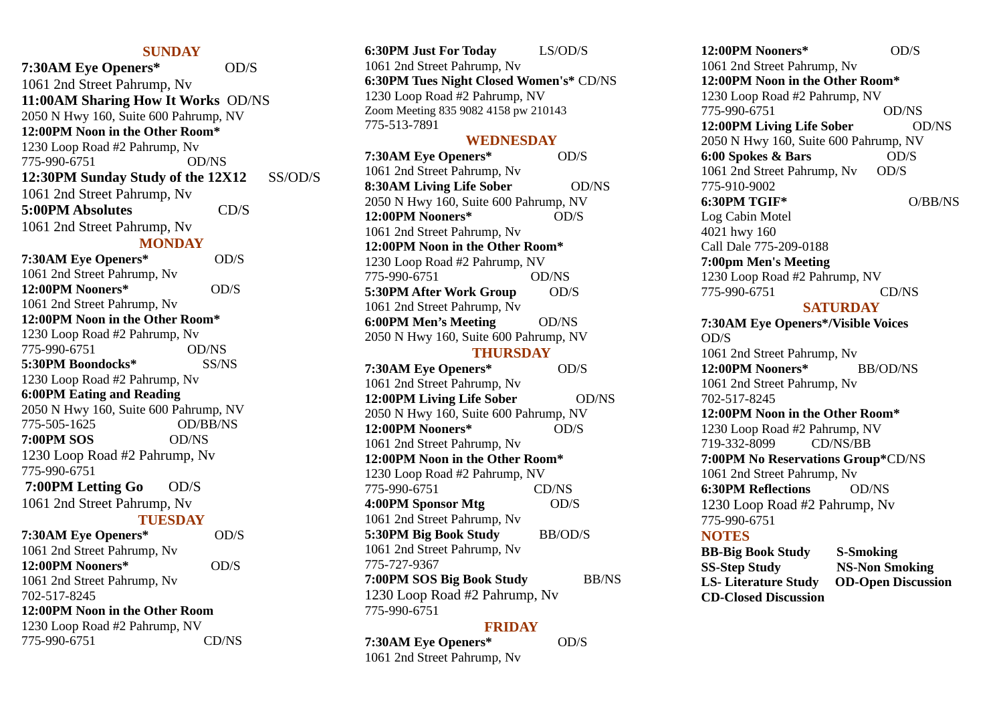## **SUNDAY**

**7:30AM Eye Openers\*** OD/S 1061 2nd Street Pahrump, Nv **11:00AM Sharing How It Works** OD/NS 2050 N Hwy 160, Suite 600 Pahrump, NV **12:00PM Noon in the Other Room\*** 1230 Loop Road #2 Pahrump, Nv 775-990-6751 OD/NS **12:30PM Sunday Study of the 12X12** SS/OD/S 1061 2nd Street Pahrump, Nv **5:00PM Absolutes** CD/S 1061 2nd Street Pahrump, Nv **MONDAY 7:30AM Eye Openers\*** OD/S 1061 2nd Street Pahrump, Nv **12:00PM Nooners\*** OD/S 1061 2nd Street Pahrump, Nv **12:00PM Noon in the Other Room\*** 1230 Loop Road #2 Pahrump, Nv 775-990-6751 OD/NS **5:30PM Boondocks\*** SS/NS 1230 Loop Road #2 Pahrump, Nv **6:00PM Eating and Reading** 2050 N Hwy 160, Suite 600 Pahrump, NV 775-505-1625 OD/BB/NS **7:00PM SOS** OD/NS 1230 Loop Road #2 Pahrump, Nv 775-990-6751 **7:00PM Letting Go OD/S** 1061 2nd Street Pahrump, Nv **TUESDAY 7:30AM Eye Openers\*** OD/S 1061 2nd Street Pahrump, Nv **12:00PM Nooners\*** OD/S 1061 2nd Street Pahrump, Nv 702-517-8245 **12:00PM Noon in the Other Room**

| 1230 Loop Road #2 Pahrump, NV |       |
|-------------------------------|-------|
| 775-990-6751                  | CD/NS |

**6:30PM Just For Today** LS/OD/S 1061 2nd Street Pahrump, Nv **6:30PM Tues Night Closed Women's\*** CD/NS 1230 Loop Road #2 Pahrump, NV Zoom Meeting 835 9082 4158 pw 210143 775-513-7891

#### **WEDNESDAY**

| 7:30AM Eye Openers*                   | OD/S           |
|---------------------------------------|----------------|
| 1061 2nd Street Pahrump, Nv           |                |
| 8:30AM Living Life Sober              | <b>OD/NS</b>   |
| 2050 N Hwy 160, Suite 600 Pahrump, NV |                |
| 12:00PM Nooners*                      | OD/S           |
| 1061 2nd Street Pahrump, Nv           |                |
| 12:00PM Noon in the Other Room*       |                |
| 1230 Loop Road #2 Pahrump, NV         |                |
| 775-990-6751                          | OD/NS          |
| 5:30PM After Work Group               | OD/S           |
| 1061 2nd Street Pahrump, Nv           |                |
| <b>6:00PM Men's Meeting</b>           | OD/NS          |
| 2050 N Hwy 160, Suite 600 Pahrump, NV |                |
| <b>THURSDAY</b>                       |                |
| 7:30AM Eye Openers*                   | OD/S           |
| 1061 2nd Street Pahrump, Nv           |                |
| 12:00PM Living Life Sober             | <b>OD/NS</b>   |
| 2050 N Hwy 160, Suite 600 Pahrump, NV |                |
| 12:00PM Nooners*                      | OD/S           |
| 1061 2nd Street Pahrump, Nv           |                |
| 12:00PM Noon in the Other Room*       |                |
| 1230 Loop Road #2 Pahrump, NV         |                |
| 775-990-6751                          | CD/NS          |
| 4:00PM Sponsor Mtg                    | OD/S           |
| 1061 2nd Street Pahrump, Nv           |                |
| 5:30PM Big Book Study                 | <b>BB/OD/S</b> |
| 1061 2nd Street Pahrump, Nv           |                |
| 775-727-9367                          |                |
| 7:00PM SOS Big Book Study             | <b>BB/NS</b>   |
| 1230 Loop Road #2 Pahrump, Nv         |                |
| 775-990-6751                          |                |

#### **FRIDAY**

 $OD/S$ 

| 7:30AM Eye Openers*         |  |
|-----------------------------|--|
| 1061 2nd Street Pahrump, Nv |  |

**12:00PM Nooners\*** OD/S 1061 2nd Street Pahrump, Nv **12:00PM Noon in the Other Room\*** 1230 Loop Road #2 Pahrump, NV 775-990-6751 OD/NS **12:00PM Living Life Sober**  OD/NS 2050 N Hwy 160, Suite 600 Pahrump, NV **6:00 Spokes & Bars** OD/S 1061 2nd Street Pahrump, Nv OD/S 775-910-9002 **6:30PM TGIF\*** O/BB/NS Log Cabin Motel 4021 hwy 160 Call Dale 775-209-0188 **7:00pm Men's Meeting** 1230 Loop Road #2 Pahrump, NV 775-990-6751 CD/NS **SATURDAY 7:30AM Eye Openers\*/Visible Voices**  OD/S 1061 2nd Street Pahrump, Nv **12:00PM Nooners\*** BB/OD/NS 1061 2nd Street Pahrump, Nv 702-517-8245 **12:00PM Noon in the Other Room\*** 1230 Loop Road #2 Pahrump, NV 719-332-8099 CD/NS/BB **7:00PM No Reservations Group\***CD/NS 1061 2nd Street Pahrump, Nv **6:30PM Reflections** OD/NS 1230 Loop Road #2 Pahrump, Nv 775-990-6751 **NOTES**

**BB-Big Book Study S-Smoking SS-Step Study NS-Non Smoking LS- Literature Study OD-Open Discussion CD-Closed Discussion**